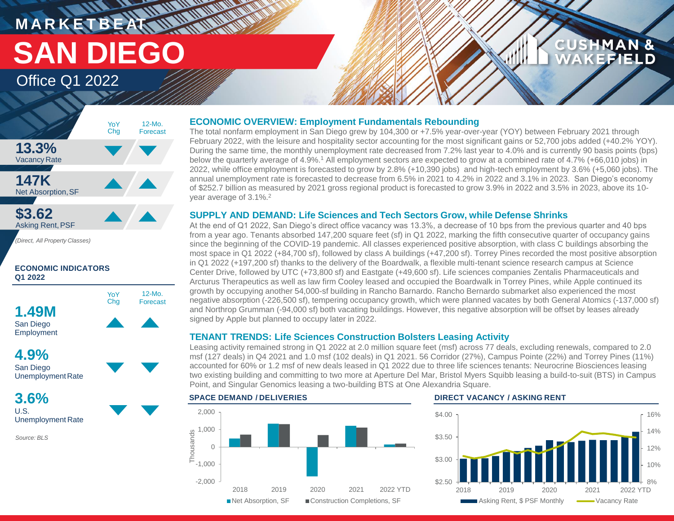# **MARKETBEAT MUNICIPAL SAN DIEGO**

### Office Q1 2022



**ECONOMIC INDICATORS Q1 2022**



San Diego Unemployment Rate

**3.6%** U.S. Unemployment Rate

*Source: BLS*

### **ECONOMIC OVERVIEW: Employment Fundamentals Rebounding**

The total nonfarm employment in San Diego grew by 104,300 or +7.5% year-over-year (YOY) between February 2021 through February 2022, with the leisure and hospitality sector accounting for the most significant gains or 52,700 jobs added (+40.2% YOY). During the same time, the monthly unemployment rate decreased from 7.2% last year to 4.0% and is currently 90 basis points (bps) below the quarterly average of 4.9%.<sup>1</sup> All employment sectors are expected to grow at a combined rate of 4.7% (+66,010 jobs) in 2022, while office employment is forecasted to grow by 2.8% (+10,390 jobs) and high-tech employment by 3.6% (+5,060 jobs). The annual unemployment rate is forecasted to decrease from 6.5% in 2021 to 4.2% in 2022 and 3.1% in 2023. San Diego's economy of \$252.7 billion as measured by 2021 gross regional product is forecasted to grow 3.9% in 2022 and 3.5% in 2023, above its 10 year average of 3.1%.<sup>2</sup>

#### **SUPPLY AND DEMAND: Life Sciences and Tech Sectors Grow, while Defense Shrinks**

At the end of Q1 2022, San Diego's direct office vacancy was 13.3%, a decrease of 10 bps from the previous quarter and 40 bps from a year ago. Tenants absorbed 147,200 square feet (sf) in Q1 2022, marking the fifth consecutive quarter of occupancy gains since the beginning of the COVID-19 pandemic. All classes experienced positive absorption, with class C buildings absorbing the most space in Q1 2022 (+84,700 sf), followed by class A buildings (+47,200 sf). Torrey Pines recorded the most positive absorption in Q1 2022 (+197,200 sf) thanks to the delivery of the Boardwalk, a flexible multi-tenant science research campus at Science Center Drive, followed by UTC (+73,800 sf) and Eastgate (+49,600 sf). Life sciences companies Zentalis Pharmaceuticals and Arcturus Therapeutics as well as law firm Cooley leased and occupied the Boardwalk in Torrey Pines, while Apple continued its growth by occupying another 54,000-sf building in Rancho Barnardo. Rancho Bernardo submarket also experienced the most negative absorption (-226,500 sf), tempering occupancy growth, which were planned vacates by both General Atomics (-137,000 sf) and Northrop Grumman (-94,000 sf) both vacating buildings. However, this negative absorption will be offset by leases already signed by Apple but planned to occupy later in 2022.

### **TENANT TRENDS: Life Sciences Construction Bolsters Leasing Activity**

Leasing activity remained strong in Q1 2022 at 2.0 million square feet (msf) across 77 deals, excluding renewals, compared to 2.0 msf (127 deals) in Q4 2021 and 1.0 msf (102 deals) in Q1 2021. 56 Corridor (27%), Campus Pointe (22%) and Torrey Pines (11%) accounted for 60% or 1.2 msf of new deals leased in Q1 2022 due to three life sciences tenants: Neurocrine Biosciences leasing two existing building and committing to two more at Aperture Del Mar, Bristol Myers Squibb leasing a build-to-suit (BTS) in Campus Point, and Singular Genomics leasing a two-building BTS at One Alexandria Square.





**CUSHMAN &** 

EFIELD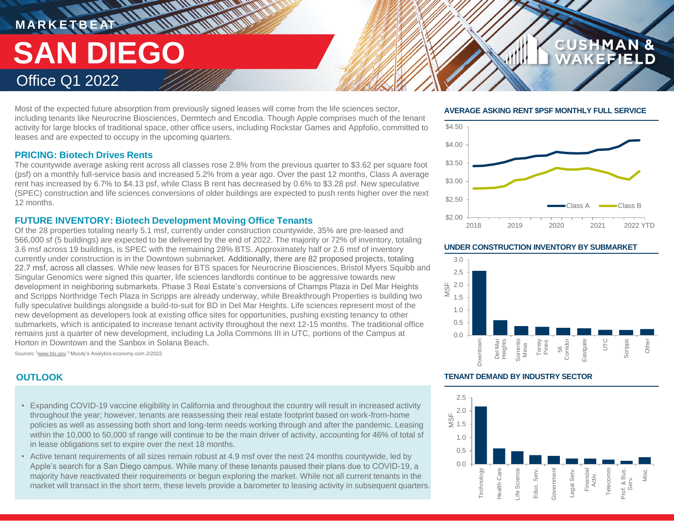## **MARKETBEAT 11 11 11 11 11 11 THE AT AN ANTIQUAL SAN DIEGO** Office Q1 2022

Most of the expected future absorption from previously signed leases will come from the life sciences sector, including tenants like Neurocrine Biosciences, Dermtech and Encodia. Though Apple comprises much of the tenant activity for large blocks of traditional space, other office users, including Rockstar Games and Appfolio, committed to leases and are expected to occupy in the upcoming quarters.

#### **PRICING: Biotech Drives Rents**

The countywide average asking rent across all classes rose 2.8% from the previous quarter to \$3.62 per square foot (psf) on a monthly full-service basis and increased 5.2% from a year ago. Over the past 12 months, Class A average rent has increased by 6.7% to \$4.13 psf, while Class B rent has decreased by 0.6% to \$3.28 psf. New speculative (SPEC) construction and life sciences conversions of older buildings are expected to push rents higher over the next 12 months.

#### **FUTURE INVENTORY: Biotech Development Moving Office Tenants**

Of the 28 properties totaling nearly 5.1 msf, currently under construction countywide, 35% are pre-leased and 566,000 sf (5 buildings) are expected to be delivered by the end of 2022. The majority or 72% of inventory, totaling 3.6 msf across 19 buildings, is SPEC with the remaining 28% BTS. Approximately half or 2.6 msf of inventory currently under construction is in the Downtown submarket. Additionally, there are 82 proposed projects, totaling 22.7 msf, across all classes. While new leases for BTS spaces for Neurocrine Biosciences, Bristol Myers Squibb and Singular Genomics were signed this quarter, life sciences landlords continue to be aggressive towards new development in neighboring submarkets. Phase 3 Real Estate's conversions of Champs Plaza in Del Mar Heights and Scripps Northridge Tech Plaza in Scripps are already underway, while Breakthrough Properties is building two fully speculative buildings alongside a build-to-suit for BD in Del Mar Heights. Life sciences represent most of the new development as developers look at existing office sites for opportunities, pushing existing tenancy to other submarkets, which is anticipated to increase tenant activity throughout the next 12-15 months. The traditional office remains just a quarter of new development, including La Jolla Commons III in UTC, portions of the Campus at Horton in Downtown and the Sanbox in Solana Beach.

Sources: <sup>1</sup>www.bls.gov <sup>2</sup> Moody's Analytics economy.com 2/2022.

- Expanding COVID-19 vaccine eligibility in California and throughout the country will result in increased activity throughout the year; however, tenants are reassessing their real estate footprint based on work-from-home policies as well as assessing both short and long-term needs working through and after the pandemic. Leasing within the 10,000 to 50,000 sf range will continue to be the main driver of activity, accounting for 46% of total sf in lease obligations set to expire over the next 18 months.
- Active tenant requirements of all sizes remain robust at 4.9 msf over the next 24 months countywide, led by Apple's search for a San Diego campus. While many of these tenants paused their plans due to COVID-19, a majority have reactivated their requirements or begun exploring the market. While not all current tenants in the market will transact in the short term, these levels provide a barometer to leasing activity in subsequent quarters.

#### **AVERAGE ASKING RENT \$PSF MONTHLY FULL SERVICE**

**CUSHMAN &** 

FFIELD



#### **UNDER CONSTRUCTION INVENTORY BY SUBMARKET**



#### **OUTLOOK TENANT DEMAND BY INDUSTRY SECTOR**

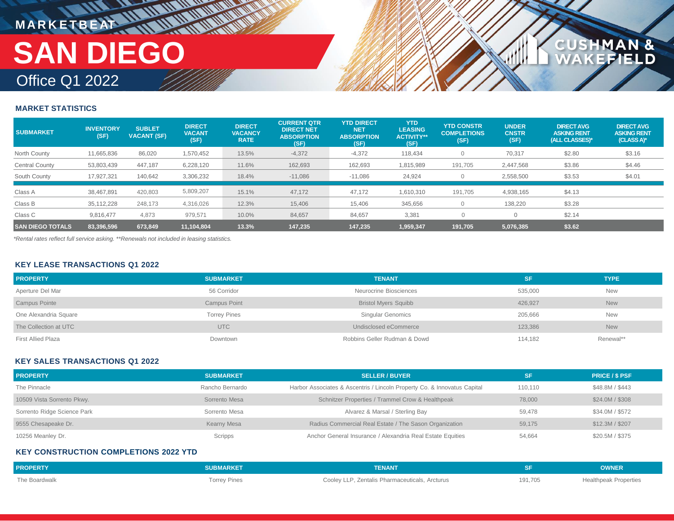# **MARKETBEAT MUNICIPAL** Office Q1 2022 **SAN DIEGO**

**MARITAN** 

#### **MARKET STATISTICS**

| <b>SUBMARKET</b>        | <b>INVENTORY</b><br>(SF) | <b>SUBLET</b><br><b>VACANT (SF)</b> | <b>DIRECT</b><br><b>VACANT</b><br>(SF) | <b>DIRECT</b><br><b>VACANCY</b><br><b>RATE</b> | <b>CURRENT QTR</b><br><b>DIRECT NET</b><br><b>ABSORPTION</b><br>(SF) | <b>YTD DIRECT</b><br><b>NET</b><br><b>ABSORPTION</b><br>(SF) | <b>YTD</b><br><b>LEASING</b><br><b>ACTIVITY**</b><br>(SF) | <b>YTD CONSTR</b><br><b>COMPLETIONS</b><br>(SF) | <b>UNDER</b><br><b>CNSTR</b><br>(SF) | <b>DIRECT AVG</b><br><b>ASKING RENT</b><br>(ALL CLASSES)* | <b>DIRECT AVG</b><br><b>ASKING RENT</b><br>$(CLASS A)^*$ |
|-------------------------|--------------------------|-------------------------------------|----------------------------------------|------------------------------------------------|----------------------------------------------------------------------|--------------------------------------------------------------|-----------------------------------------------------------|-------------------------------------------------|--------------------------------------|-----------------------------------------------------------|----------------------------------------------------------|
| North County            | 11,665,836               | 86,020                              | 1,570,452                              | 13.5%                                          | $-4,372$                                                             | $-4,372$                                                     | 118,434                                                   | $\Omega$                                        | 70,317                               | \$2.80                                                    | \$3.16                                                   |
| Central County          | 53,803,439               | 447,187                             | 6,228,120                              | 11.6%                                          | 162,693                                                              | 162,693                                                      | 1,815,989                                                 | 191,705                                         | 2,447,568                            | \$3.86                                                    | \$4.46                                                   |
| South County            | 17,927,321               | 140,642                             | 3,306,232                              | 18.4%                                          | $-11,086$                                                            | $-11,086$                                                    | 24,924                                                    |                                                 | 2,558,500                            | \$3.53                                                    | \$4.01                                                   |
| Class A                 | 38,467,891               | 420,803                             | 5,809,207                              | 15.1%                                          | 47,172                                                               | 47,172                                                       | 1,610,310                                                 | 191,705                                         | 4,938,165                            | \$4.13                                                    |                                                          |
| Class B                 | 35,112,228               | 248,173                             | 4,316,026                              | 12.3%                                          | 15,406                                                               | 15,406                                                       | 345,656                                                   |                                                 | 138,220                              | \$3.28                                                    |                                                          |
| Class C                 | 9,816,477                | 4.873                               | 979,571                                | 10.0%                                          | 84,657                                                               | 84,657                                                       | 3,381                                                     |                                                 |                                      | \$2.14                                                    |                                                          |
| <b>SAN DIEGO TOTALS</b> | 83,396,596               | 673,849                             | 11,104,804                             | 13.3%                                          | 147,235                                                              | 147,235                                                      | 1,959,347                                                 | 191,705                                         | 5,076,385                            | \$3.62                                                    |                                                          |

**MAN &<br>FIELD** 

**CUSHM** 

*\*Rental rates reflect full service asking. \*\*Renewals not included in leasing statistics.*

#### **KEY LEASE TRANSACTIONS Q1 2022**

| <b>PROPERTY</b>           | <b>SUBMARKET</b>    | <b>TENANT</b>                | SF      | <b>TYPE</b> |
|---------------------------|---------------------|------------------------------|---------|-------------|
| Aperture Del Mar          | 56 Corridor         | Neurocrine Biosciences       | 535,000 | <b>New</b>  |
| <b>Campus Pointe</b>      | <b>Campus Point</b> | <b>Bristol Myers Squibb</b>  | 426,927 | <b>New</b>  |
| One Alexandria Square     | <b>Torrey Pines</b> | <b>Singular Genomics</b>     | 205,666 | <b>New</b>  |
| The Collection at UTC     | <b>UTC</b>          | Undisclosed eCommerce        | 123,386 | <b>New</b>  |
| <b>First Allied Plaza</b> | Downtown            | Robbins Geller Rudman & Dowd | 114,182 | Renewal**   |

#### **KEY SALES TRANSACTIONS Q1 2022**

| <b>PROPERTY</b>             | <b>SUBMARKET</b> | <b>SELLER / BUYER</b>                                                    |         | <b>PRICE / \$ PSF</b> |
|-----------------------------|------------------|--------------------------------------------------------------------------|---------|-----------------------|
| The Pinnacle                | Rancho Bernardo  | Harbor Associates & Ascentris / Lincoln Property Co. & Innovatus Capital | 110.110 | \$48.8M / \$443       |
| 10509 Vista Sorrento Pkwy.  | Sorrento Mesa    | Schnitzer Properties / Trammel Crow & Healthpeak                         | 78,000  | \$24.0M / \$308       |
| Sorrento Ridge Science Park | Sorrento Mesa    | Alvarez & Marsal / Sterling Bay                                          | 59.478  | \$34.0M / \$572       |
| 9555 Chesapeake Dr.         | Kearny Mesa      | Radius Commercial Real Estate / The Sason Organization                   | 59.175  | \$12.3M / \$207       |
| 10256 Meanley Dr.           | Scripps          | Anchor General Insurance / Alexandria Real Estate Equities               | 54,664  | \$20.5M / \$375       |

#### **KEY CONSTRUCTION COMPLETIONS 2022 YTD**

| <b>PROPERTY</b> | <b>SUBMARKET</b> '  | <b>TENANT</b>                                  |         | <b>OWNER</b>                 |
|-----------------|---------------------|------------------------------------------------|---------|------------------------------|
| The Boardwalk   | <b>Torrey Pines</b> | Cooley LLP, Zentalis Pharmaceuticals, Arcturus | 191,705 | <b>Healthpeak Properties</b> |